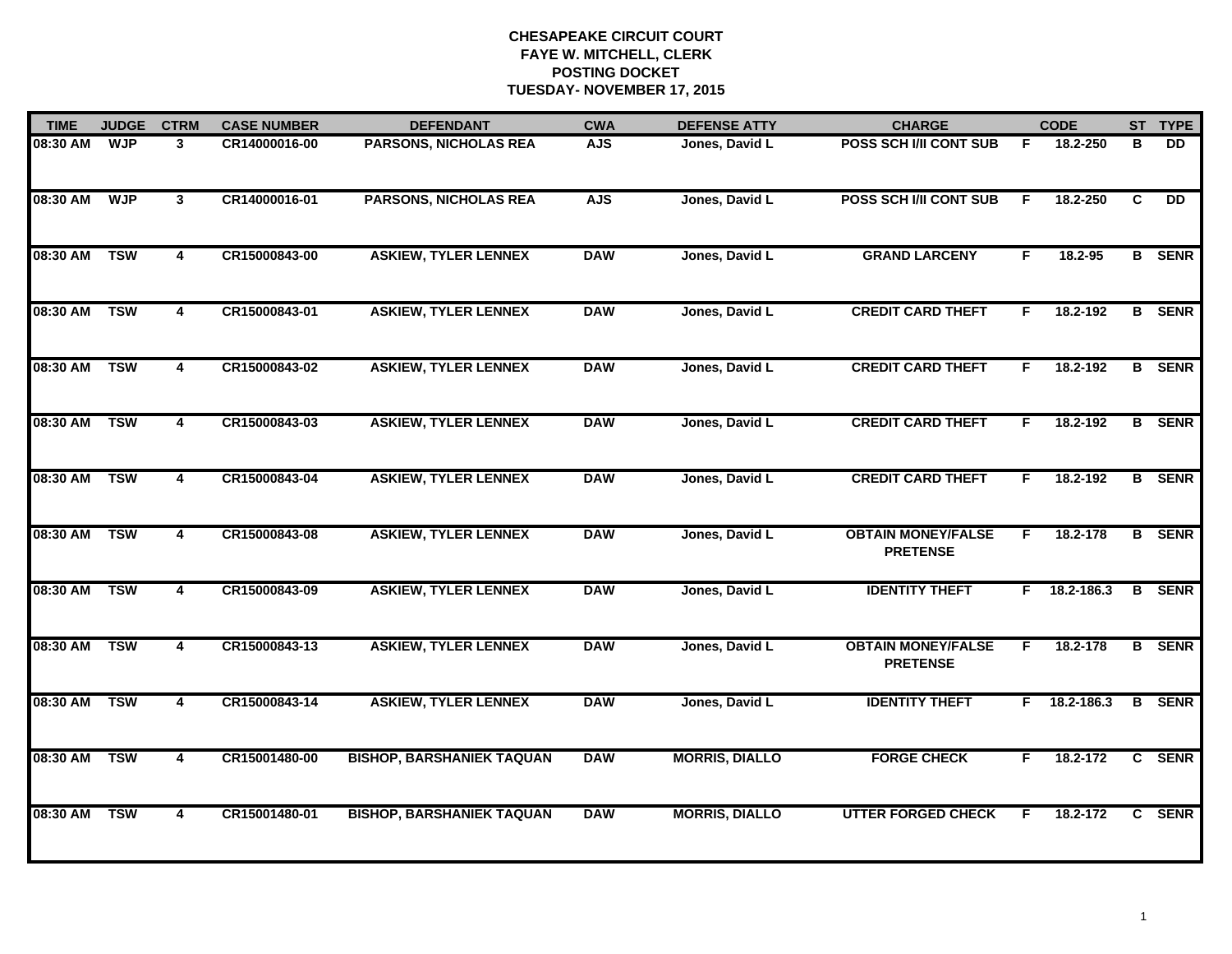| <b>TIME</b>  | <b>JUDGE</b> | <b>CTRM</b>    | <b>CASE NUMBER</b> | <b>DEFENDANT</b>                 | <b>CWA</b> | <b>DEFENSE ATTY</b>   | <b>CHARGE</b>                                |    | <b>CODE</b> |              | ST TYPE       |
|--------------|--------------|----------------|--------------------|----------------------------------|------------|-----------------------|----------------------------------------------|----|-------------|--------------|---------------|
| 08:30 AM     | <b>WJP</b>   | 3              | CR14000016-00      | <b>PARSONS, NICHOLAS REA</b>     | <b>AJS</b> | Jones, David L        | POSS SCH I/II CONT SUB                       | F. | 18.2-250    | в            | DD.           |
| 08:30 AM     | <b>WJP</b>   | 3              | CR14000016-01      | <b>PARSONS, NICHOLAS REA</b>     | <b>AJS</b> | Jones, David L        | <b>POSS SCH I/II CONT SUB</b>                | F. | 18.2-250    | C            | <b>DD</b>     |
| 08:30 AM     | <b>TSW</b>   | 4              | CR15000843-00      | <b>ASKIEW, TYLER LENNEX</b>      | <b>DAW</b> | Jones, David L        | <b>GRAND LARCENY</b>                         | F. | 18.2-95     |              | <b>B</b> SENR |
| 08:30 AM     | <b>TSW</b>   | 4              | CR15000843-01      | <b>ASKIEW, TYLER LENNEX</b>      | <b>DAW</b> | Jones, David L        | <b>CREDIT CARD THEFT</b>                     | F  | 18.2-192    |              | <b>B</b> SENR |
| 08:30 AM     | <b>TSW</b>   | 4              | CR15000843-02      | <b>ASKIEW, TYLER LENNEX</b>      | <b>DAW</b> | Jones, David L        | <b>CREDIT CARD THEFT</b>                     | F. | 18.2-192    |              | <b>B</b> SENR |
| 08:30 AM     | <b>TSW</b>   | $\overline{4}$ | CR15000843-03      | <b>ASKIEW, TYLER LENNEX</b>      | <b>DAW</b> | Jones, David L        | <b>CREDIT CARD THEFT</b>                     | F. | 18.2-192    |              | <b>B</b> SENR |
| 08:30 AM     | <b>TSW</b>   | 4              | CR15000843-04      | <b>ASKIEW, TYLER LENNEX</b>      | <b>DAW</b> | Jones, David L        | <b>CREDIT CARD THEFT</b>                     | F. | 18.2-192    |              | <b>B</b> SENR |
| 08:30 AM     | <b>TSW</b>   | 4              | CR15000843-08      | <b>ASKIEW, TYLER LENNEX</b>      | <b>DAW</b> | Jones, David L        | <b>OBTAIN MONEY/FALSE</b><br><b>PRETENSE</b> | F  | 18.2-178    |              | <b>B</b> SENR |
| 08:30 AM     | <b>TSW</b>   | 4              | CR15000843-09      | <b>ASKIEW, TYLER LENNEX</b>      | <b>DAW</b> | Jones, David L        | <b>IDENTITY THEFT</b>                        | F. | 18.2-186.3  |              | <b>B</b> SENR |
| 08:30 AM TSW |              | 4              | CR15000843-13      | <b>ASKIEW, TYLER LENNEX</b>      | <b>DAW</b> | Jones, David L        | <b>OBTAIN MONEY/FALSE</b><br><b>PRETENSE</b> | F  | 18.2-178    |              | <b>B</b> SENR |
| 08:30 AM     | <b>TSW</b>   | 4              | CR15000843-14      | <b>ASKIEW, TYLER LENNEX</b>      | <b>DAW</b> | Jones, David L        | <b>IDENTITY THEFT</b>                        | F. | 18.2-186.3  |              | <b>B</b> SENR |
| 08:30 AM     | <b>TSW</b>   | 4              | CR15001480-00      | <b>BISHOP, BARSHANIEK TAQUAN</b> | <b>DAW</b> | <b>MORRIS, DIALLO</b> | <b>FORGE CHECK</b>                           | F  | 18.2-172    |              | C SENR        |
| 08:30 AM     | <b>TSW</b>   | 4              | CR15001480-01      | <b>BISHOP, BARSHANIEK TAQUAN</b> | <b>DAW</b> | <b>MORRIS, DIALLO</b> | <b>UTTER FORGED CHECK</b>                    | F  | 18.2-172    | $\mathbf{c}$ | <b>SENR</b>   |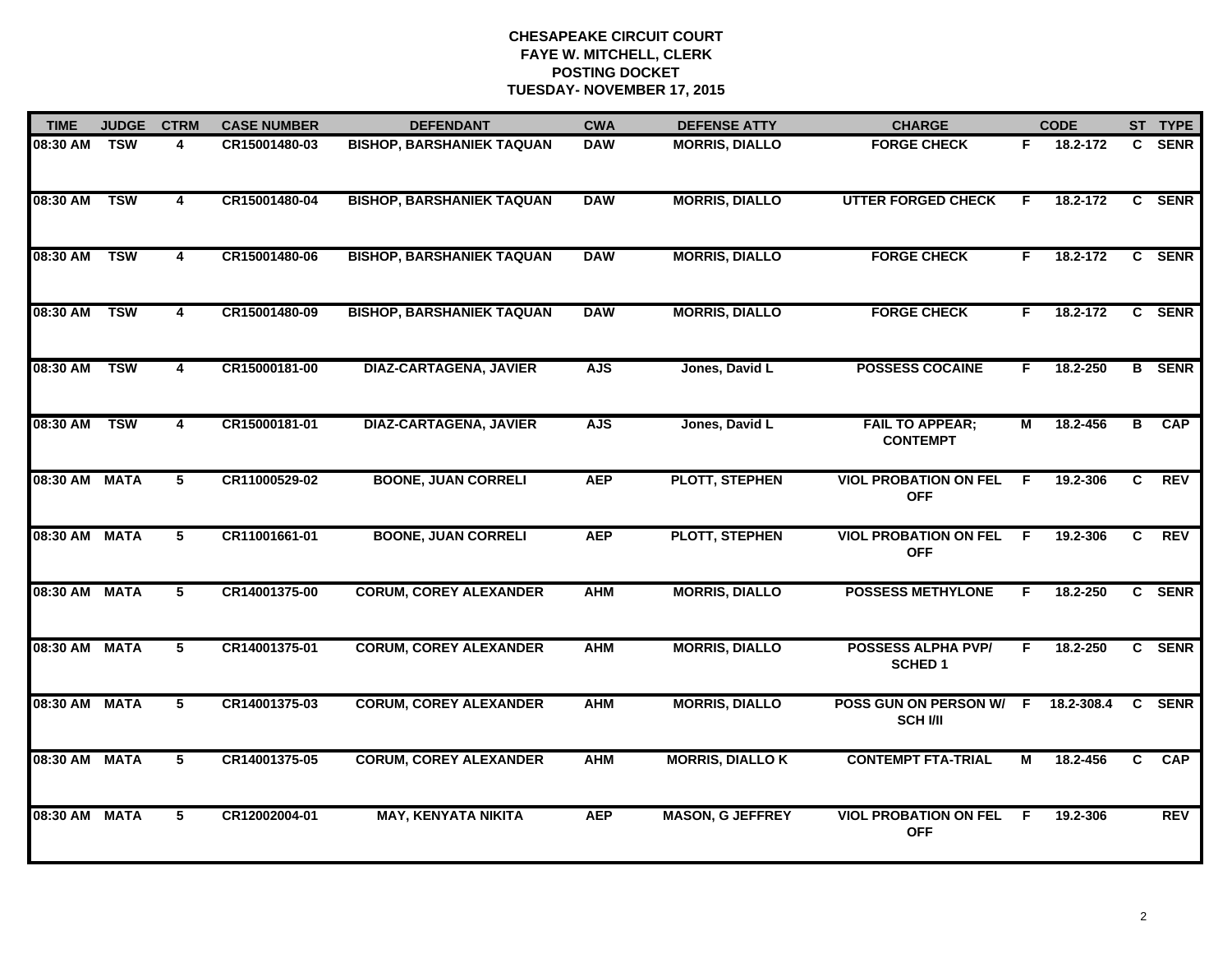| <b>TIME</b>   | <b>JUDGE</b> | <b>CTRM</b>    | <b>CASE NUMBER</b> | <b>DEFENDANT</b>                 | <b>CWA</b> | <b>DEFENSE ATTY</b>     | <b>CHARGE</b>                               |    | <b>CODE</b> |              | ST TYPE       |
|---------------|--------------|----------------|--------------------|----------------------------------|------------|-------------------------|---------------------------------------------|----|-------------|--------------|---------------|
| 08:30 AM      | <b>TSW</b>   | 4              | CR15001480-03      | <b>BISHOP, BARSHANIEK TAQUAN</b> | <b>DAW</b> | <b>MORRIS, DIALLO</b>   | <b>FORGE CHECK</b>                          | F. | 18.2-172    | C.           | <b>SENR</b>   |
| 08:30 AM      | <b>TSW</b>   | $\overline{4}$ | CR15001480-04      | <b>BISHOP, BARSHANIEK TAQUAN</b> | <b>DAW</b> | <b>MORRIS, DIALLO</b>   | <b>UTTER FORGED CHECK</b>                   | F  | 18.2-172    | C.           | <b>SENR</b>   |
| 08:30 AM      | <b>TSW</b>   | 4              | CR15001480-06      | <b>BISHOP, BARSHANIEK TAQUAN</b> | <b>DAW</b> | <b>MORRIS, DIALLO</b>   | <b>FORGE CHECK</b>                          | F. | 18.2-172    |              | C SENR        |
| 08:30 AM      | <b>TSW</b>   | 4              | CR15001480-09      | <b>BISHOP, BARSHANIEK TAQUAN</b> | <b>DAW</b> | <b>MORRIS, DIALLO</b>   | <b>FORGE CHECK</b>                          | F. | 18.2-172    | $\mathbf{c}$ | <b>SENR</b>   |
| 08:30 AM      | <b>TSW</b>   | 4              | CR15000181-00      | <b>DIAZ-CARTAGENA, JAVIER</b>    | <b>AJS</b> | Jones, David L          | <b>POSSESS COCAINE</b>                      | F. | 18.2-250    |              | <b>B</b> SENR |
| 08:30 AM TSW  |              | 4              | CR15000181-01      | <b>DIAZ-CARTAGENA, JAVIER</b>    | <b>AJS</b> | Jones, David L          | <b>FAIL TO APPEAR;</b><br><b>CONTEMPT</b>   | М  | 18.2-456    | В            | CAP           |
| 08:30 AM MATA |              | 5              | CR11000529-02      | <b>BOONE, JUAN CORRELI</b>       | <b>AEP</b> | <b>PLOTT, STEPHEN</b>   | <b>VIOL PROBATION ON FEL</b><br><b>OFF</b>  | F. | 19.2-306    | C            | <b>REV</b>    |
| 08:30 AM MATA |              | $\overline{5}$ | CR11001661-01      | <b>BOONE, JUAN CORRELI</b>       | <b>AEP</b> | <b>PLOTT, STEPHEN</b>   | <b>VIOL PROBATION ON FEL</b><br><b>OFF</b>  | E  | 19.2-306    | C.           | <b>REV</b>    |
| 08:30 AM MATA |              | 5              | CR14001375-00      | <b>CORUM, COREY ALEXANDER</b>    | <b>AHM</b> | <b>MORRIS, DIALLO</b>   | <b>POSSESS METHYLONE</b>                    | F  | 18.2-250    |              | C SENR        |
| 08:30 AM MATA |              | 5              | CR14001375-01      | <b>CORUM, COREY ALEXANDER</b>    | <b>AHM</b> | <b>MORRIS, DIALLO</b>   | <b>POSSESS ALPHA PVP/</b><br><b>SCHED 1</b> | F. | 18.2-250    |              | C SENR        |
| 08:30 AM MATA |              | 5              | CR14001375-03      | <b>CORUM, COREY ALEXANDER</b>    | <b>AHM</b> | <b>MORRIS, DIALLO</b>   | POSS GUN ON PERSON W/ F<br><b>SCH VII</b>   |    | 18.2-308.4  | C            | <b>SENR</b>   |
| 08:30 AM MATA |              | 5              | CR14001375-05      | <b>CORUM, COREY ALEXANDER</b>    | <b>AHM</b> | <b>MORRIS, DIALLO K</b> | <b>CONTEMPT FTA-TRIAL</b>                   | M  | 18.2-456    | C.           | <b>CAP</b>    |
| 08:30 AM MATA |              | 5              | CR12002004-01      | <b>MAY, KENYATA NIKITA</b>       | <b>AEP</b> | <b>MASON, G JEFFREY</b> | <b>VIOL PROBATION ON FEL</b><br><b>OFF</b>  | -F | 19.2-306    |              | <b>REV</b>    |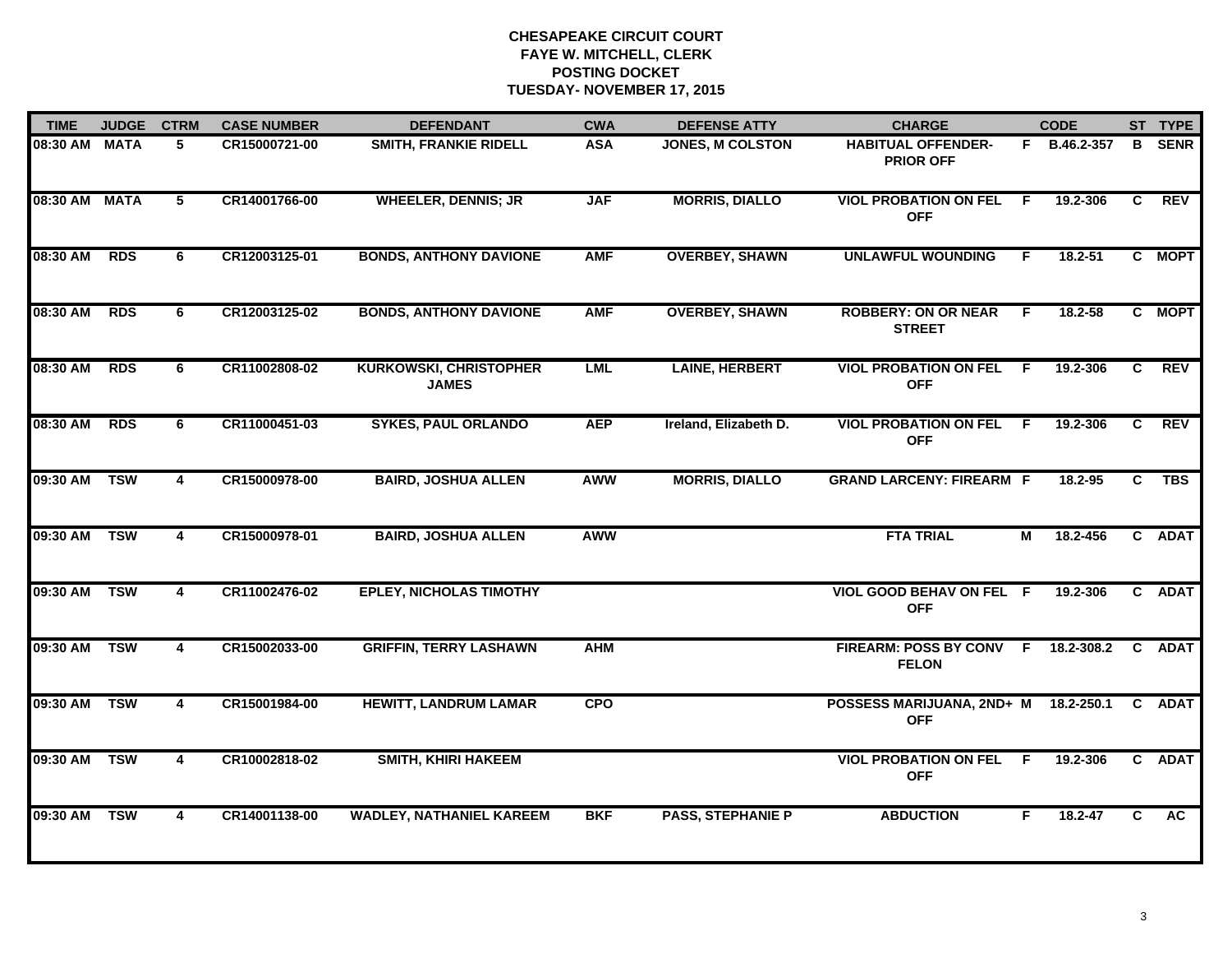| <b>TIME</b>   | <b>JUDGE</b> | <b>CTRM</b>    | <b>CASE NUMBER</b> | <b>DEFENDANT</b>                              | <b>CWA</b> | <b>DEFENSE ATTY</b>      | <b>CHARGE</b>                                 |     | <b>CODE</b>  |              | ST TYPE     |
|---------------|--------------|----------------|--------------------|-----------------------------------------------|------------|--------------------------|-----------------------------------------------|-----|--------------|--------------|-------------|
| 08:30 AM MATA |              | 5              | CR15000721-00      | SMITH, FRANKIE RIDELL                         | <b>ASA</b> | JONES, M COLSTON         | <b>HABITUAL OFFENDER-</b><br><b>PRIOR OFF</b> |     | F B.46.2-357 | B.           | <b>SENR</b> |
| 08:30 AM      | <b>MATA</b>  | $\overline{5}$ | CR14001766-00      | <b>WHEELER, DENNIS; JR</b>                    | <b>JAF</b> | <b>MORRIS, DIALLO</b>    | <b>VIOL PROBATION ON FEL</b><br><b>OFF</b>    | F   | 19.2-306     | C            | <b>REV</b>  |
| 08:30 AM      | <b>RDS</b>   | 6              | CR12003125-01      | <b>BONDS, ANTHONY DAVIONE</b>                 | <b>AMF</b> | <b>OVERBEY, SHAWN</b>    | <b>UNLAWFUL WOUNDING</b>                      | F.  | $18.2 - 51$  |              | C MOPT      |
| 08:30 AM      | <b>RDS</b>   | 6              | CR12003125-02      | <b>BONDS, ANTHONY DAVIONE</b>                 | <b>AMF</b> | <b>OVERBEY, SHAWN</b>    | <b>ROBBERY: ON OR NEAR</b><br><b>STREET</b>   | E   | $18.2 - 58$  |              | C MOPT      |
| 08:30 AM      | <b>RDS</b>   | 6              | CR11002808-02      | <b>KURKOWSKI, CHRISTOPHER</b><br><b>JAMES</b> | LML        | <b>LAINE, HERBERT</b>    | <b>VIOL PROBATION ON FEL</b><br><b>OFF</b>    | F.  | 19.2-306     | C.           | <b>REV</b>  |
| 08:30 AM      | <b>RDS</b>   | 6              | CR11000451-03      | <b>SYKES, PAUL ORLANDO</b>                    | <b>AEP</b> | Ireland, Elizabeth D.    | <b>VIOL PROBATION ON FEL</b><br><b>OFF</b>    | -F. | 19.2-306     | C.           | <b>REV</b>  |
| 09:30 AM TSW  |              | $\overline{4}$ | CR15000978-00      | <b>BAIRD, JOSHUA ALLEN</b>                    | <b>AWW</b> | <b>MORRIS, DIALLO</b>    | <b>GRAND LARCENY: FIREARM F</b>               |     | $18.2 - 95$  | $\mathbf{C}$ | <b>TBS</b>  |
| 09:30 AM      | <b>TSW</b>   | 4              | CR15000978-01      | <b>BAIRD, JOSHUA ALLEN</b>                    | <b>AWW</b> |                          | <b>FTA TRIAL</b>                              | М   | 18.2-456     |              | C ADAT      |
| 09:30 AM      | <b>TSW</b>   | 4              | CR11002476-02      | <b>EPLEY, NICHOLAS TIMOTHY</b>                |            |                          | VIOL GOOD BEHAV ON FEL F<br><b>OFF</b>        |     | 19.2-306     |              | C ADAT      |
| 09:30 AM      | <b>TSW</b>   | $\overline{4}$ | CR15002033-00      | <b>GRIFFIN, TERRY LASHAWN</b>                 | <b>AHM</b> |                          | FIREARM: POSS BY CONV F<br><b>FELON</b>       |     | 18.2-308.2   |              | C ADAT      |
| 09:30 AM      | <b>TSW</b>   | $\overline{4}$ | CR15001984-00      | <b>HEWITT, LANDRUM LAMAR</b>                  | <b>CPO</b> |                          | POSSESS MARIJUANA, 2ND+ M<br><b>OFF</b>       |     | 18.2-250.1   | $\mathbf{C}$ | <b>ADAT</b> |
| 09:30 AM      | <b>TSW</b>   | $\overline{4}$ | CR10002818-02      | <b>SMITH, KHIRI HAKEEM</b>                    |            |                          | <b>VIOL PROBATION ON FEL</b><br><b>OFF</b>    | F   | 19.2-306     |              | C ADAT      |
| 09:30 AM      | <b>TSW</b>   | 4              | CR14001138-00      | <b>WADLEY, NATHANIEL KAREEM</b>               | <b>BKF</b> | <b>PASS, STEPHANIE P</b> | <b>ABDUCTION</b>                              | F.  | $18.2 - 47$  | C            | <b>AC</b>   |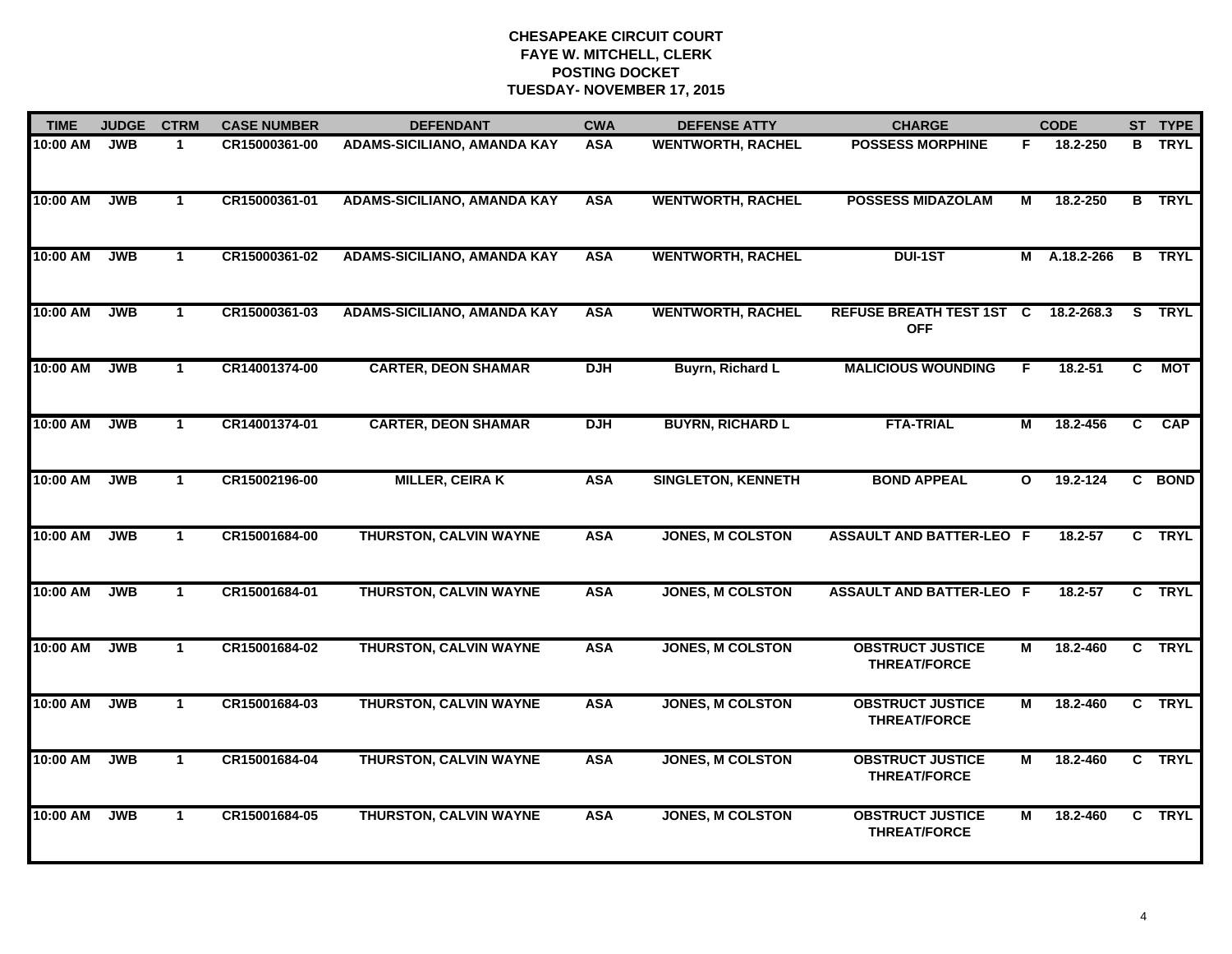| <b>TIME</b> | <b>JUDGE</b> | <b>CTRM</b>  | <b>CASE NUMBER</b> | <b>DEFENDANT</b>                   | <b>CWA</b> | <b>DEFENSE ATTY</b>       | <b>CHARGE</b>                                  |              | <b>CODE</b> |                | ST TYPE       |
|-------------|--------------|--------------|--------------------|------------------------------------|------------|---------------------------|------------------------------------------------|--------------|-------------|----------------|---------------|
| 10:00 AM    | <b>JWB</b>   | $\mathbf{1}$ | CR15000361-00      | ADAMS-SICILIANO, AMANDA KAY        | <b>ASA</b> | <b>WENTWORTH, RACHEL</b>  | <b>POSSESS MORPHINE</b>                        | F.           | 18.2-250    | B              | <b>TRYL</b>   |
| 10:00 AM    | <b>JWB</b>   | $\mathbf{1}$ | CR15000361-01      | <b>ADAMS-SICILIANO, AMANDA KAY</b> | <b>ASA</b> | <b>WENTWORTH, RACHEL</b>  | <b>POSSESS MIDAZOLAM</b>                       | М            | 18.2-250    |                | <b>B</b> TRYL |
| 10:00 AM    | <b>JWB</b>   | $\mathbf 1$  | CR15000361-02      | <b>ADAMS-SICILIANO, AMANDA KAY</b> | <b>ASA</b> | <b>WENTWORTH, RACHEL</b>  | DUI-1ST                                        | М            | A.18.2-266  |                | <b>B</b> TRYL |
| 10:00 AM    | <b>JWB</b>   | $\mathbf 1$  | CR15000361-03      | <b>ADAMS-SICILIANO, AMANDA KAY</b> | <b>ASA</b> | <b>WENTWORTH, RACHEL</b>  | <b>REFUSE BREATH TEST 1ST C</b><br><b>OFF</b>  |              | 18.2-268.3  | S.             | <b>TRYL</b>   |
| 10:00 AM    | <b>JWB</b>   | $\mathbf 1$  | CR14001374-00      | <b>CARTER, DEON SHAMAR</b>         | <b>DJH</b> | <b>Buyrn, Richard L</b>   | <b>MALICIOUS WOUNDING</b>                      | F.           | $18.2 - 51$ | C              | МОТ           |
| 10:00 AM    | <b>JWB</b>   | $\mathbf 1$  | CR14001374-01      | <b>CARTER, DEON SHAMAR</b>         | <b>DJH</b> | <b>BUYRN, RICHARD L</b>   | <b>FTA-TRIAL</b>                               | М            | 18.2-456    | $\overline{c}$ | <b>CAP</b>    |
| 10:00 AM    | <b>JWB</b>   | $\mathbf{1}$ | CR15002196-00      | <b>MILLER, CEIRAK</b>              | <b>ASA</b> | <b>SINGLETON, KENNETH</b> | <b>BOND APPEAL</b>                             | $\mathbf{o}$ | 19.2-124    | C.             | <b>BOND</b>   |
| 10:00 AM    | <b>JWB</b>   | $\mathbf{1}$ | CR15001684-00      | <b>THURSTON, CALVIN WAYNE</b>      | <b>ASA</b> | <b>JONES, M COLSTON</b>   | <b>ASSAULT AND BATTER-LEO F</b>                |              | $18.2 - 57$ |                | C TRYL        |
| 10:00 AM    | <b>JWB</b>   | -1           | CR15001684-01      | <b>THURSTON, CALVIN WAYNE</b>      | <b>ASA</b> | <b>JONES, M COLSTON</b>   | <b>ASSAULT AND BATTER-LEO F</b>                |              | 18.2-57     |                | C TRYL        |
| 10:00 AM    | <b>JWB</b>   | $\mathbf{1}$ | CR15001684-02      | <b>THURSTON, CALVIN WAYNE</b>      | <b>ASA</b> | <b>JONES, M COLSTON</b>   | <b>OBSTRUCT JUSTICE</b><br><b>THREAT/FORCE</b> | M            | 18.2-460    |                | C TRYL        |
| 10:00 AM    | <b>JWB</b>   | $\mathbf 1$  | CR15001684-03      | <b>THURSTON, CALVIN WAYNE</b>      | <b>ASA</b> | <b>JONES, M COLSTON</b>   | <b>OBSTRUCT JUSTICE</b><br><b>THREAT/FORCE</b> | М            | 18.2-460    |                | C TRYL        |
| 10:00 AM    | <b>JWB</b>   | $\mathbf{1}$ | CR15001684-04      | <b>THURSTON, CALVIN WAYNE</b>      | <b>ASA</b> | <b>JONES, M COLSTON</b>   | <b>OBSTRUCT JUSTICE</b><br><b>THREAT/FORCE</b> | M            | 18.2-460    |                | C TRYL        |
| 10:00 AM    | <b>JWB</b>   | $\mathbf{1}$ | CR15001684-05      | <b>THURSTON, CALVIN WAYNE</b>      | <b>ASA</b> | <b>JONES, M COLSTON</b>   | <b>OBSTRUCT JUSTICE</b><br><b>THREAT/FORCE</b> | М            | 18.2-460    |                | C TRYL        |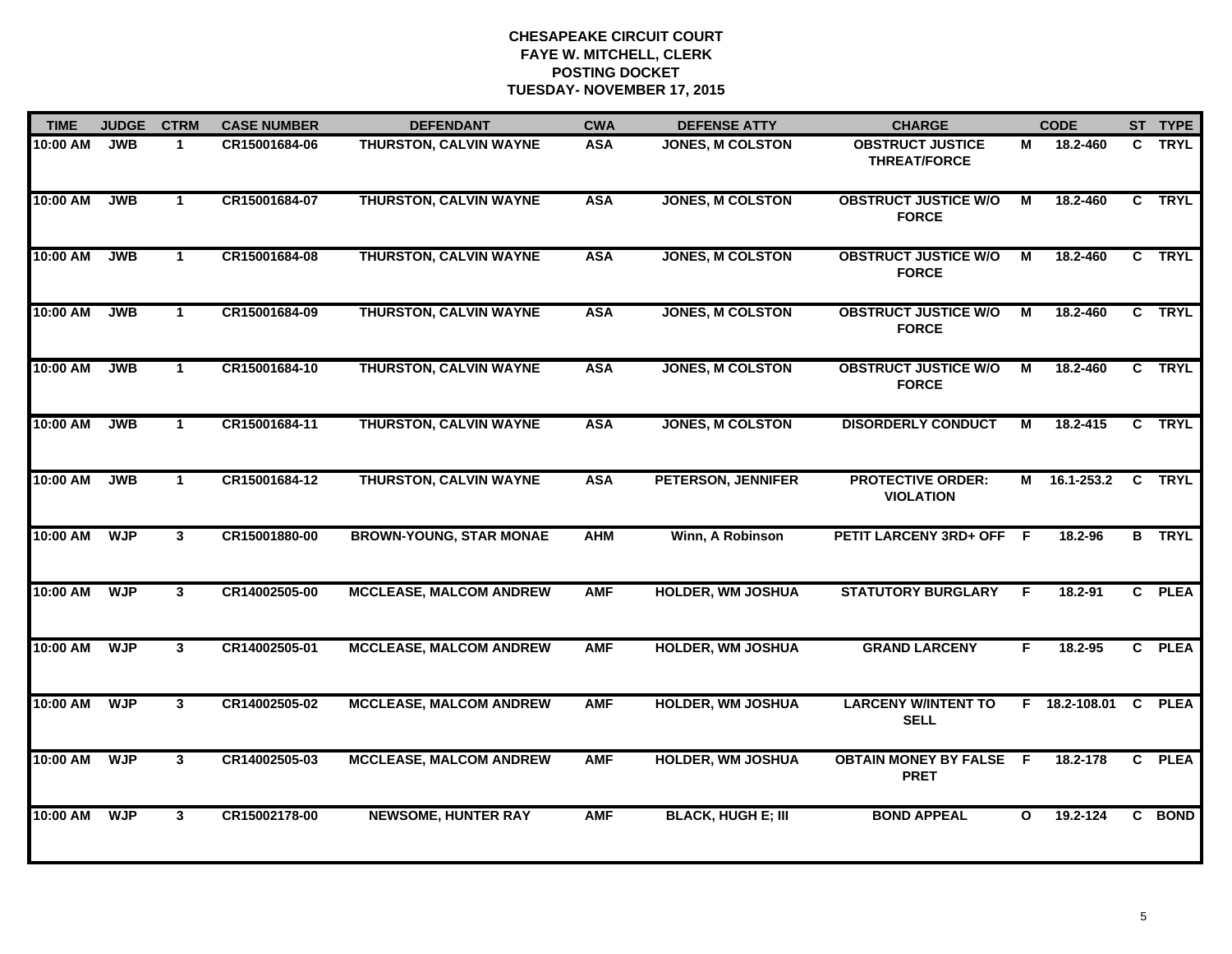| <b>TIME</b> | <b>JUDGE</b> | <b>CTRM</b>    | <b>CASE NUMBER</b> | <b>DEFENDANT</b>               | <b>CWA</b> | <b>DEFENSE ATTY</b>       | <b>CHARGE</b>                                  |              | <b>CODE</b>     |              | ST TYPE       |
|-------------|--------------|----------------|--------------------|--------------------------------|------------|---------------------------|------------------------------------------------|--------------|-----------------|--------------|---------------|
| 10:00 AM    | <b>JWB</b>   | $\mathbf 1$    | CR15001684-06      | THURSTON, CALVIN WAYNE         | <b>ASA</b> | <b>JONES, M COLSTON</b>   | <b>OBSTRUCT JUSTICE</b><br><b>THREAT/FORCE</b> | М            | 18.2-460        |              | C TRYL        |
| 10:00 AM    | <b>JWB</b>   | $\mathbf{1}$   | CR15001684-07      | <b>THURSTON, CALVIN WAYNE</b>  | <b>ASA</b> | <b>JONES, M COLSTON</b>   | <b>OBSTRUCT JUSTICE W/O</b><br><b>FORCE</b>    | М            | 18.2-460        |              | C TRYL        |
| 10:00 AM    | <b>JWB</b>   | $\mathbf{1}$   | CR15001684-08      | <b>THURSTON, CALVIN WAYNE</b>  | <b>ASA</b> | <b>JONES, M COLSTON</b>   | <b>OBSTRUCT JUSTICE W/O</b><br><b>FORCE</b>    | М            | 18.2-460        |              | C TRYL        |
| 10:00 AM    | <b>JWB</b>   | $\mathbf 1$    | CR15001684-09      | <b>THURSTON, CALVIN WAYNE</b>  | <b>ASA</b> | <b>JONES, M COLSTON</b>   | <b>OBSTRUCT JUSTICE W/O</b><br><b>FORCE</b>    | М            | 18.2-460        |              | C TRYL        |
| 10:00 AM    | <b>JWB</b>   | $\mathbf{1}$   | CR15001684-10      | <b>THURSTON, CALVIN WAYNE</b>  | <b>ASA</b> | <b>JONES, M COLSTON</b>   | <b>OBSTRUCT JUSTICE W/O</b><br><b>FORCE</b>    | M            | 18.2-460        |              | C TRYL        |
| 10:00 AM    | <b>JWB</b>   | $\mathbf 1$    | CR15001684-11      | <b>THURSTON, CALVIN WAYNE</b>  | <b>ASA</b> | <b>JONES, M COLSTON</b>   | <b>DISORDERLY CONDUCT</b>                      | м            | 18.2-415        |              | C TRYL        |
| 10:00 AM    | <b>JWB</b>   | $\mathbf 1$    | CR15001684-12      | <b>THURSTON, CALVIN WAYNE</b>  | <b>ASA</b> | <b>PETERSON, JENNIFER</b> | <b>PROTECTIVE ORDER:</b><br><b>VIOLATION</b>   | M            | 16.1-253.2      |              | C TRYL        |
| 10:00 AM    | <b>WJP</b>   | $\overline{3}$ | CR15001880-00      | <b>BROWN-YOUNG, STAR MONAE</b> | <b>AHM</b> | Winn, A Robinson          | PETIT LARCENY 3RD+ OFF F                       |              | 18.2-96         |              | <b>B</b> TRYL |
| 10:00 AM    | <b>WJP</b>   | 3              | CR14002505-00      | <b>MCCLEASE, MALCOM ANDREW</b> | <b>AMF</b> | <b>HOLDER, WM JOSHUA</b>  | <b>STATUTORY BURGLARY</b>                      | F            | $18.2 - 91$     |              | C PLEA        |
| 10:00 AM    | <b>WJP</b>   | 3              | CR14002505-01      | <b>MCCLEASE, MALCOM ANDREW</b> | <b>AMF</b> | <b>HOLDER, WM JOSHUA</b>  | <b>GRAND LARCENY</b>                           | F.           | $18.2 - 95$     |              | C PLEA        |
| 10:00 AM    | <b>WJP</b>   | 3              | CR14002505-02      | <b>MCCLEASE, MALCOM ANDREW</b> | <b>AMF</b> | <b>HOLDER, WM JOSHUA</b>  | <b>LARCENY W/INTENT TO</b><br><b>SELL</b>      |              | $F$ 18.2-108.01 | $\mathbf{C}$ | <b>PLEA</b>   |
| 10:00 AM    | <b>WJP</b>   | $\mathbf{3}$   | CR14002505-03      | <b>MCCLEASE, MALCOM ANDREW</b> | <b>AMF</b> | <b>HOLDER, WM JOSHUA</b>  | <b>OBTAIN MONEY BY FALSE F</b><br><b>PRET</b>  |              | 18.2-178        | $\mathbf{c}$ | <b>PLEA</b>   |
| 10:00 AM    | <b>WJP</b>   | $\mathbf{3}$   | CR15002178-00      | <b>NEWSOME, HUNTER RAY</b>     | <b>AMF</b> | <b>BLACK, HUGH E; III</b> | <b>BOND APPEAL</b>                             | $\mathbf{o}$ | 19.2-124        |              | C BOND        |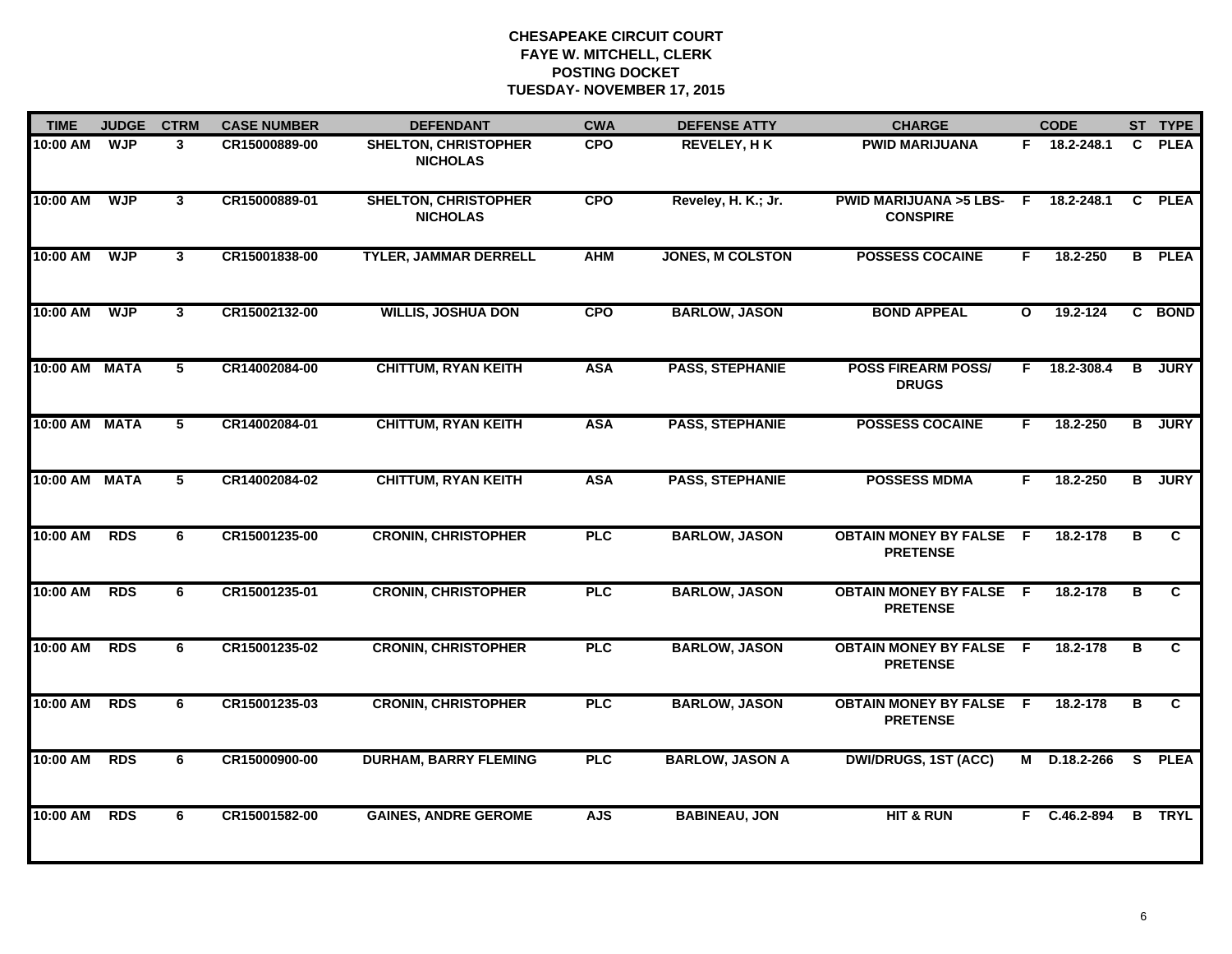| <b>TIME</b>   | <b>JUDGE</b> | <b>CTRM</b>             | <b>CASE NUMBER</b> | <b>DEFENDANT</b>                               | <b>CWA</b> | <b>DEFENSE ATTY</b>     | <b>CHARGE</b>                                       |              | <b>CODE</b>    |                | ST TYPE       |
|---------------|--------------|-------------------------|--------------------|------------------------------------------------|------------|-------------------------|-----------------------------------------------------|--------------|----------------|----------------|---------------|
| 10:00 AM      | <b>WJP</b>   | 3                       | CR15000889-00      | <b>SHELTON, CHRISTOPHER</b><br><b>NICHOLAS</b> | <b>CPO</b> | <b>REVELEY, HK</b>      | <b>PWID MARIJUANA</b>                               |              | F 18.2-248.1   | C.             | <b>PLEA</b>   |
| 10:00 AM      | <b>WJP</b>   | $\mathbf{3}$            | CR15000889-01      | <b>SHELTON, CHRISTOPHER</b><br><b>NICHOLAS</b> | <b>CPO</b> | Reveley, H. K.; Jr.     | <b>PWID MARIJUANA &gt;5 LBS-</b><br><b>CONSPIRE</b> | F.           | 18.2-248.1     | $\mathbf{C}$   | <b>PLEA</b>   |
| 10:00 AM      | <b>WJP</b>   | $\overline{\mathbf{3}}$ | CR15001838-00      | <b>TYLER, JAMMAR DERRELL</b>                   | <b>AHM</b> | <b>JONES, M COLSTON</b> | <b>POSSESS COCAINE</b>                              | F            | 18.2-250       |                | <b>B</b> PLEA |
| 10:00 AM      | <b>WJP</b>   | 3                       | CR15002132-00      | <b>WILLIS, JOSHUA DON</b>                      | <b>CPO</b> | <b>BARLOW, JASON</b>    | <b>BOND APPEAL</b>                                  | $\mathbf{o}$ | 19.2-124       |                | C BOND        |
| 10:00 AM MATA |              | 5                       | CR14002084-00      | <b>CHITTUM, RYAN KEITH</b>                     | <b>ASA</b> | <b>PASS, STEPHANIE</b>  | <b>POSS FIREARM POSS/</b><br><b>DRUGS</b>           | F.           | 18.2-308.4     | B              | <b>JURY</b>   |
| 10:00 AM MATA |              | 5                       | CR14002084-01      | <b>CHITTUM, RYAN KEITH</b>                     | <b>ASA</b> | <b>PASS, STEPHANIE</b>  | <b>POSSESS COCAINE</b>                              | F.           | 18.2-250       | B              | <b>JURY</b>   |
| 10:00 AM MATA |              | 5                       | CR14002084-02      | <b>CHITTUM, RYAN KEITH</b>                     | <b>ASA</b> | <b>PASS, STEPHANIE</b>  | <b>POSSESS MDMA</b>                                 | F.           | 18.2-250       |                | <b>B</b> JURY |
| 10:00 AM      | <b>RDS</b>   | 6                       | CR15001235-00      | <b>CRONIN, CHRISTOPHER</b>                     | <b>PLC</b> | <b>BARLOW, JASON</b>    | <b>OBTAIN MONEY BY FALSE F</b><br><b>PRETENSE</b>   |              | 18.2-178       | в              | C.            |
| 10:00 AM      | <b>RDS</b>   | 6                       | CR15001235-01      | <b>CRONIN, CHRISTOPHER</b>                     | <b>PLC</b> | <b>BARLOW, JASON</b>    | <b>OBTAIN MONEY BY FALSE</b><br><b>PRETENSE</b>     | - F          | 18.2-178       | в              | C             |
| 10:00 AM      | <b>RDS</b>   | 6                       | CR15001235-02      | <b>CRONIN, CHRISTOPHER</b>                     | PLC        | <b>BARLOW, JASON</b>    | <b>OBTAIN MONEY BY FALSE F</b><br><b>PRETENSE</b>   |              | 18.2-178       | в              | C             |
| 10:00 AM      | <b>RDS</b>   | 6                       | CR15001235-03      | <b>CRONIN, CHRISTOPHER</b>                     | PLC        | <b>BARLOW, JASON</b>    | <b>OBTAIN MONEY BY FALSE F</b><br><b>PRETENSE</b>   |              | 18.2-178       | в              | C             |
| 10:00 AM      | <b>RDS</b>   | 6                       | CR15000900-00      | <b>DURHAM, BARRY FLEMING</b>                   | <b>PLC</b> | <b>BARLOW, JASON A</b>  | <b>DWI/DRUGS, 1ST (ACC)</b>                         | М            | D.18.2-266     | $\overline{s}$ | <b>PLEA</b>   |
| 10:00 AM      | <b>RDS</b>   | 6                       | CR15001582-00      | <b>GAINES, ANDRE GEROME</b>                    | <b>AJS</b> | <b>BABINEAU, JON</b>    | <b>HIT &amp; RUN</b>                                | F.           | $C.46.2 - 894$ | B              | <b>TRYL</b>   |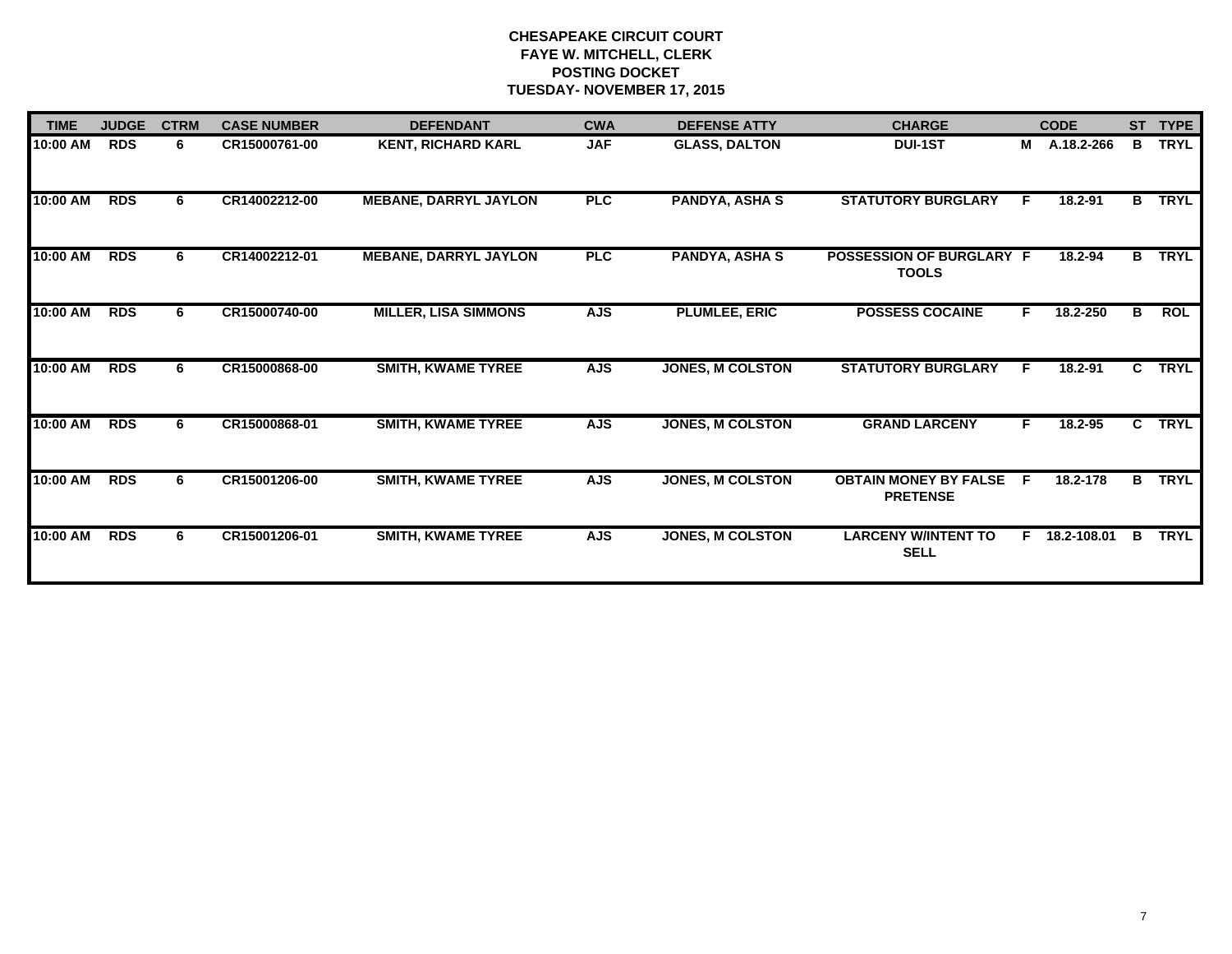| <b>TIME</b> | <b>JUDGE</b> | <b>CTRM</b> | <b>CASE NUMBER</b> | <b>DEFENDANT</b>             | <b>CWA</b> | <b>DEFENSE ATTY</b>     | <b>CHARGE</b>                                   |    | <b>CODE</b>   |    | ST TYPE     |
|-------------|--------------|-------------|--------------------|------------------------------|------------|-------------------------|-------------------------------------------------|----|---------------|----|-------------|
| 10:00 AM    | <b>RDS</b>   | 6           | CR15000761-00      | <b>KENT, RICHARD KARL</b>    | <b>JAF</b> | <b>GLASS, DALTON</b>    | <b>DUI-1ST</b>                                  | М  | A.18.2-266    | B  | <b>TRYL</b> |
| 10:00 AM    | <b>RDS</b>   | 6.          | CR14002212-00      | <b>MEBANE, DARRYL JAYLON</b> | PLC        | <b>PANDYA, ASHA S</b>   | <b>STATUTORY BURGLARY</b>                       | F. | $18.2 - 91$   | B  | <b>TRYL</b> |
| 10:00 AM    | <b>RDS</b>   | 6.          | CR14002212-01      | <b>MEBANE, DARRYL JAYLON</b> | <b>PLC</b> | <b>PANDYA, ASHA S</b>   | POSSESSION OF BURGLARY F<br><b>TOOLS</b>        |    | 18.2-94       | B. | <b>TRYL</b> |
| 10:00 AM    | <b>RDS</b>   | 6           | CR15000740-00      | <b>MILLER, LISA SIMMONS</b>  | <b>AJS</b> | <b>PLUMLEE, ERIC</b>    | <b>POSSESS COCAINE</b>                          | F. | 18.2-250      | В  | ROL         |
| 10:00 AM    | <b>RDS</b>   | 6.          | CR15000868-00      | <b>SMITH, KWAME TYREE</b>    | <b>AJS</b> | <b>JONES, M COLSTON</b> | <b>STATUTORY BURGLARY</b>                       | F. | 18.2-91       | C. | <b>TRYL</b> |
| 10:00 AM    | <b>RDS</b>   | 6           | CR15000868-01      | <b>SMITH, KWAME TYREE</b>    | <b>AJS</b> | <b>JONES, M COLSTON</b> | <b>GRAND LARCENY</b>                            | F. | $18.2 - 95$   |    | C TRYL      |
| 10:00 AM    | <b>RDS</b>   | 6.          | CR15001206-00      | <b>SMITH, KWAME TYREE</b>    | <b>AJS</b> | <b>JONES, M COLSTON</b> | <b>OBTAIN MONEY BY FALSE</b><br><b>PRETENSE</b> | E  | 18.2-178      | B  | <b>TRYL</b> |
| 10:00 AM    | <b>RDS</b>   | 6.          | CR15001206-01      | <b>SMITH, KWAME TYREE</b>    | <b>AJS</b> | <b>JONES, M COLSTON</b> | <b>LARCENY W/INTENT TO</b><br><b>SELL</b>       |    | F 18.2-108.01 | В  | <b>TRYL</b> |